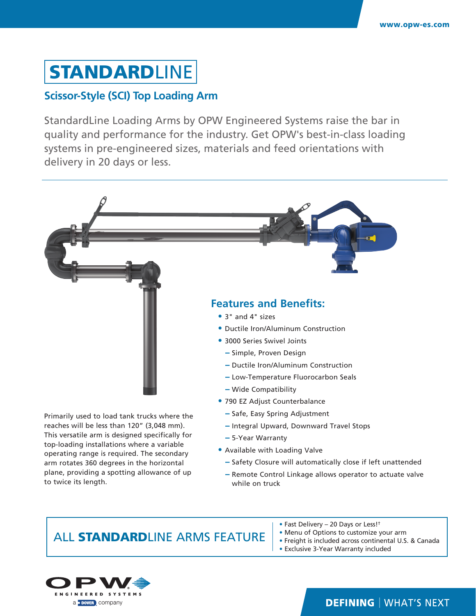# **STANDARDLINE**

#### **Scissor-Style (SCI) Top Loading Arm**

StandardLine Loading Arms by OPW Engineered Systems raise the bar in quality and performance for the industry. Get OPW's best-in-class loading systems in pre-engineered sizes, materials and feed orientations with delivery in 20 days or less.



**−** Remote Control Linkage allows operator to actuate valve while on truck

## ALL STANDARDLINE ARMS FEATURE

plane, providing a spotting allowance of up

to twice its length.

a **DOVER** company

- Fast Delivery 20 Days or Less!†
- Menu of Options to customize your arm
- Freight is included across continental U.S. & Canada
- Exclusive 3-Year Warranty included



#### **DEFINING | WHAT'S NEXT**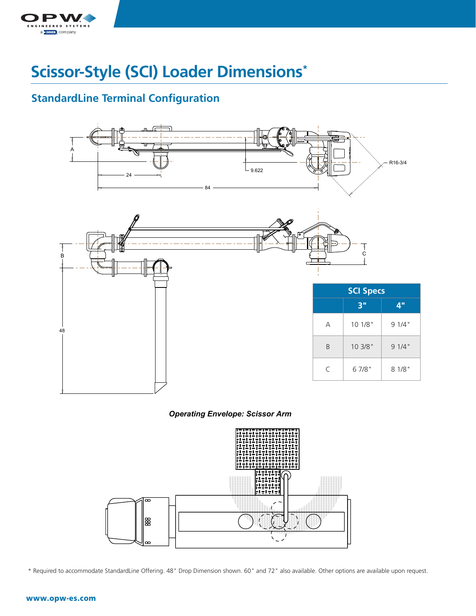

### **Scissor-Style (SCI) Loader Dimensions\*** A

## **StandardLine Terminal Configuration**



*Operating Envelope: Scissor Arm Operating Envelope: Scissor Arm*

![](_page_1_Figure_5.jpeg)

\* Required to accommodate StandardLine Offering. 48" Drop Dimension shown. 60" and 72" also available. Other options are available upon request.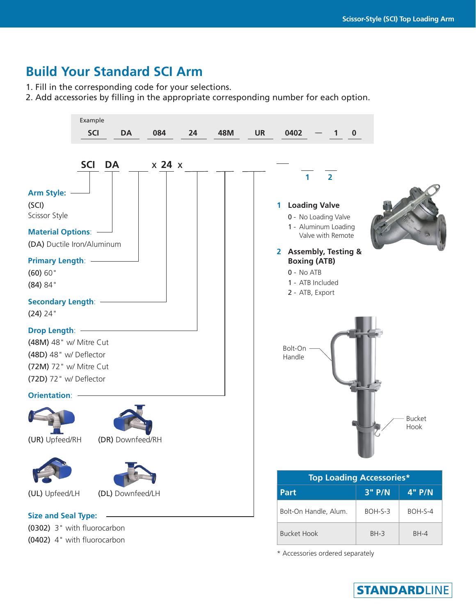## **Build Your Standard SCI Arm**

1. Fill in the corresponding code for your selections.

2. Add accessories by filling in the appropriate corresponding number for each option.

![](_page_2_Picture_4.jpeg)

**STANDARDLINE**